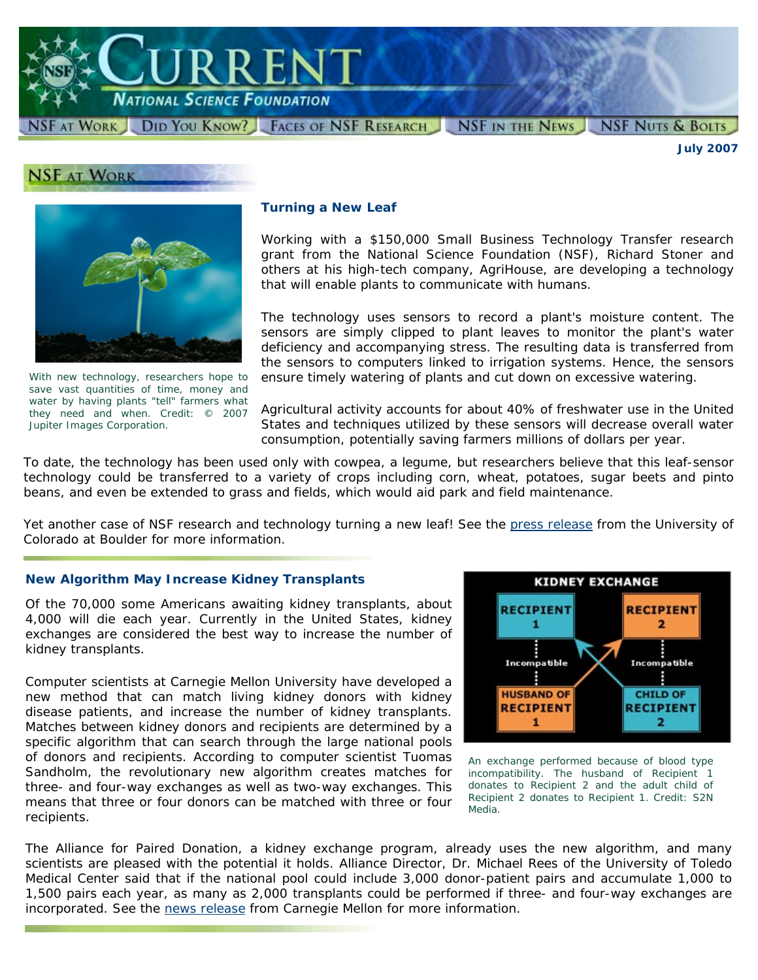

**ISF AT WORK DID YOU KNOW?** FACES OF NSF RESEARCH NSF IN THE NEWS

*July 2007*

**NSF NUTS & BOLTS** 





*With new technology, researchers hope to save vast quantities of time, money and water by having plants "tell" farmers what they need and when. Credit: © 2007 Jupiter Images Corporation.* 

## **Turning a New Leaf**

Working with a \$150,000 Small Business Technology Transfer research grant from the National Science Foundation (NSF), Richard Stoner and others at his high-tech company, AgriHouse, are developing a technology that will enable plants to communicate with humans.

The technology uses sensors to record a plant's moisture content. The sensors are simply clipped to plant leaves to monitor the plant's water deficiency and accompanying stress. The resulting data is transferred from the sensors to computers linked to irrigation systems. Hence, the sensors ensure timely watering of plants and cut down on excessive watering.

Agricultural activity accounts for about 40% of freshwater use in the United States and techniques utilized by these sensors will decrease overall water consumption, potentially saving farmers millions of dollars per year.

To date, the technology has been used only with cowpea, a legume, but researchers believe that this leaf-sensor technology could be transferred to a variety of crops including corn, wheat, potatoes, sugar beets and pinto beans, and even be extended to grass and fields, which would aid park and field maintenance.

Yet another case of NSF research and technology turning a new leaf! See the [press release](http://www.colorado.edu/news/releases/2007/244.html) from the University of Colorado at Boulder for more information.

## **New Algorithm May Increase Kidney Transplants**

Of the 70,000 some Americans awaiting kidney transplants, about 4,000 will die each year. Currently in the United States, kidney exchanges are considered the best way to increase the number of kidney transplants.

Computer scientists at Carnegie Mellon University have developed a new method that can match living kidney donors with kidney disease patients, and increase the number of kidney transplants. Matches between kidney donors and recipients are determined by a specific algorithm that can search through the large national pools of donors and recipients. According to computer scientist Tuomas Sandholm, the revolutionary new algorithm creates matches for three- and four-way exchanges as well as two-way exchanges. This means that three or four donors can be matched with three or four recipients.



*An exchange performed because of blood type incompatibility. The husband of Recipient 1 donates to Recipient 2 and the adult child of Recipient 2 donates to Recipient 1. Credit: S2N Media.* 

The Alliance for Paired Donation, a kidney exchange program, already uses the new algorithm, and many scientists are pleased with the potential it holds. Alliance Director, Dr. Michael Rees of the University of Toledo Medical Center said that if the national pool could include 3,000 donor-patient pairs and accumulate 1,000 to 1,500 pairs each year, as many as 2,000 transplants could be performed if three- and four-way exchanges are incorporated. See the [news release](http://www.cmu.edu/news/archive/2007/June/june11_kidney.shtml) from Carnegie Mellon for more information.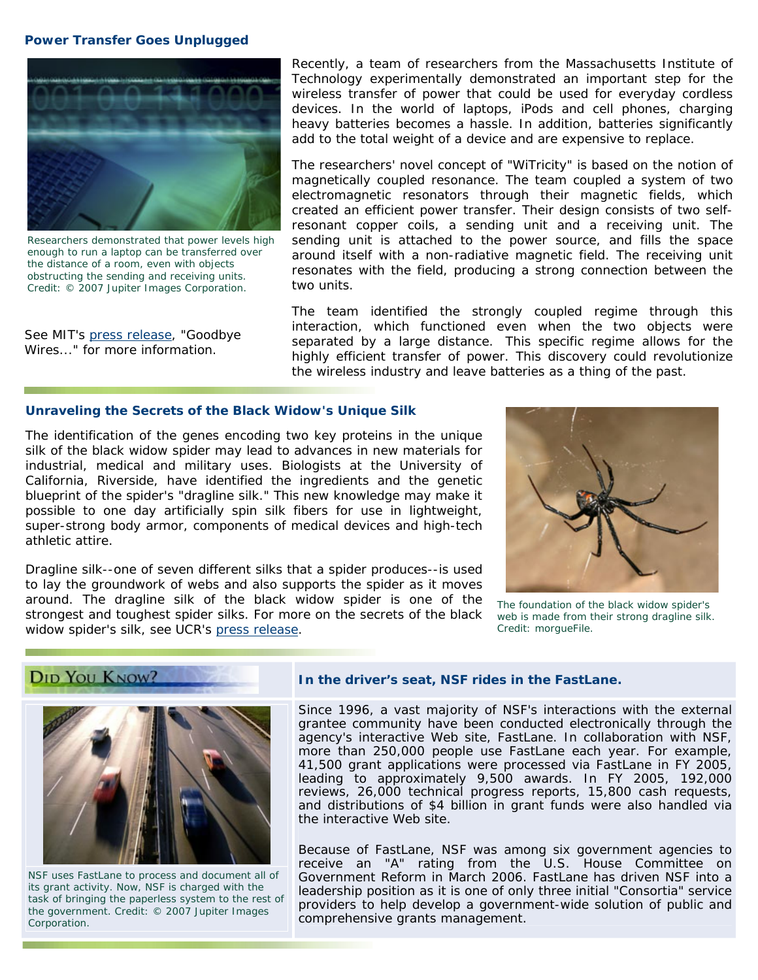#### **Power Transfer Goes Unplugged**



*Researchers demonstrated that power levels high enough to run a laptop can be transferred over the distance of a room, even with objects obstructing the sending and receiving units. Credit: © 2007 Jupiter Images Corporation.* 

*See MIT's [press release,](http://web.mit.edu/newsoffice/2007/wireless-0607.html) "Goodbye Wires..." for more information.*

Recently, a team of researchers from the Massachusetts Institute of Technology experimentally demonstrated an important step for the wireless transfer of power that could be used for everyday cordless devices. In the world of laptops, iPods and cell phones, charging heavy batteries becomes a hassle. In addition, batteries significantly add to the total weight of a device and are expensive to replace.

The researchers' novel concept of "WiTricity" is based on the notion of magnetically coupled resonance. The team coupled a system of two electromagnetic resonators through their magnetic fields, which created an efficient power transfer. Their design consists of two selfresonant copper coils, a sending unit and a receiving unit. The sending unit is attached to the power source, and fills the space around itself with a non-radiative magnetic field. The receiving unit resonates with the field, producing a strong connection between the two units.

The team identified the strongly coupled regime through this interaction, which functioned even when the two objects were separated by a large distance. This specific regime allows for the highly efficient transfer of power. This discovery could revolutionize the wireless industry and leave batteries as a thing of the past.

## **Unraveling the Secrets of the Black Widow's Unique Silk**

The identification of the genes encoding two key proteins in the unique silk of the black widow spider may lead to advances in new materials for industrial, medical and military uses. Biologists at the University of California, Riverside, have identified the ingredients and the genetic blueprint of the spider's "dragline silk." This new knowledge may make it possible to one day artificially spin silk fibers for use in lightweight, super-strong body armor, components of medical devices and high-tech athletic attire.

Dragline silk--one of seven different silks that a spider produces--is used to lay the groundwork of webs and also supports the spider as it moves around. The dragline silk of the black widow spider is one of the strongest and toughest spider silks. For more on the secrets of the black widow spider's silk, see UCR's [press release.](http://www.newsroom.ucr.edu/cgi-bin/display.cgi?id=1612) *Credit: morgueFile. Credit: morgueFile.* 



*The foundation of the black widow spider's web is made from their strong dragline silk.* 



#### *In the driver's seat, NSF rides in the FastLane.*

Since 1996, a vast majority of NSF's interactions with the external grantee community have been conducted electronically through the agency's interactive Web site, FastLane. In collaboration with NSF, more than 250,000 people use FastLane each year. For example, 41,500 grant applications were processed via FastLane in FY 2005, leading to approximately 9,500 awards. In FY 2005, 192,000 reviews, 26,000 technical progress reports, 15,800 cash requests, and distributions of \$4 billion in grant funds were also handled via the interactive Web site.

Because of FastLane, NSF was among six government agencies to receive an "A" rating from the U.S. House Committee on *NSF uses FastLane to process and document all of* Government Reform in March 2006. FastLane has driven NSF into a Its grant activity. Now, NSF is charged with the<br>task of bringing the paperless system to the rest of<br>the government. Credit: © 2007 Jupiter Images<br>Corporation. Corporation.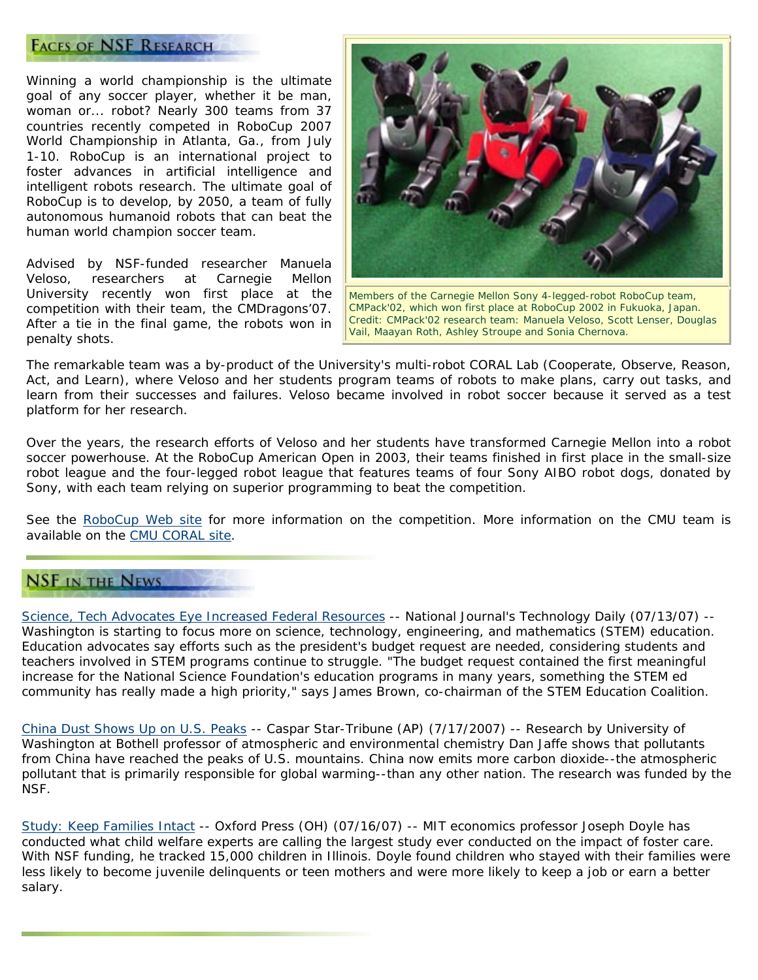# **FACES OF NSF RESEARCH**

Winning a world championship is the ultimate goal of any soccer player, whether it be man, woman or... robot? Nearly 300 teams from 37 countries recently competed in RoboCup 2007 World Championship in Atlanta, Ga., from July 1-10. RoboCup is an international project to foster advances in artificial intelligence and intelligent robots research. The ultimate goal of RoboCup is to develop, by 2050, a team of fully autonomous humanoid robots that can beat the human world champion soccer team.

Advised by NSF-funded researcher Manuela Veloso, researchers at Carnegie Mellon University recently won first place at the competition with their team, the CMDragons'07. After a tie in the final game, the robots won in penalty shots.



*Members of the Carnegie Mellon Sony 4-legged-robot RoboCup team, CMPack'02, which won first place at RoboCup 2002 in Fukuoka, Japan. Credit: CMPack'02 research team: Manuela Veloso, Scott Lenser, Douglas Vail, Maayan Roth, Ashley Stroupe and Sonia Chernova.* 

The remarkable team was a by-product of the University's multi-robot CORAL Lab (Cooperate, Observe, Reason, Act, and Learn), where Veloso and her students program teams of robots to make plans, carry out tasks, and learn from their successes and failures. Veloso became involved in robot soccer because it served as a test platform for her research.

Over the years, the research efforts of Veloso and her students have transformed Carnegie Mellon into a robot soccer powerhouse. At the RoboCup American Open in 2003, their teams finished in first place in the small-size robot league and the four-legged robot league that features teams of four Sony AIBO robot dogs, donated by Sony, with each team relying on superior programming to beat the competition.

See the [RoboCup Web site](http://www.robocup.org/) for more information on the competition. More information on the CMU team is available on the [CMU CORAL site.](http://www.cs.cmu.edu/%7Ecoral/)

# **NSF IN THE NEWS**

[Science, Tech Advocates Eye Increased Federal Resources](http://www.govexec.com/story_page.cfm?articleid=37463&dcn=todaysnews) -- *National Journal's Technology Daily (07/13/07)* -- Washington is starting to focus more on science, technology, engineering, and mathematics (STEM) education. Education advocates say efforts such as the president's budget request are needed, considering students and teachers involved in STEM programs continue to struggle. "The budget request contained the first meaningful increase for the National Science Foundation's education programs in many years, something the STEM ed community has really made a high priority," says James Brown, co-chairman of the STEM Education Coalition.

[China Dust Shows Up on U.S. Peaks](http://www.casperstartribune.net/articles/2007/07/17/news/regional/ed5fbe9679cf7b93872573180021160a.txt) -- *Caspar Star-Tribune (AP) (7/17/2007)* -- Research by University of Washington at Bothell professor of atmospheric and environmental chemistry Dan Jaffe shows that pollutants from China have reached the peaks of U.S. mountains. China now emits more carbon dioxide--the atmospheric pollutant that is primarily responsible for global warming--than any other nation. The research was funded by the NSF.

[Study: Keep Families Intact](http://www.oxfordpress.com/hp/content/oh/story/news/local/2007/07/16/hjn071607fostercare.html) -- *Oxford Press (OH) (07/16/07)* -- MIT economics professor Joseph Doyle has conducted what child welfare experts are calling the largest study ever conducted on the impact of foster care. With NSF funding, he tracked 15,000 children in Illinois. Doyle found children who stayed with their families were less likely to become juvenile delinquents or teen mothers and were more likely to keep a job or earn a better salary.